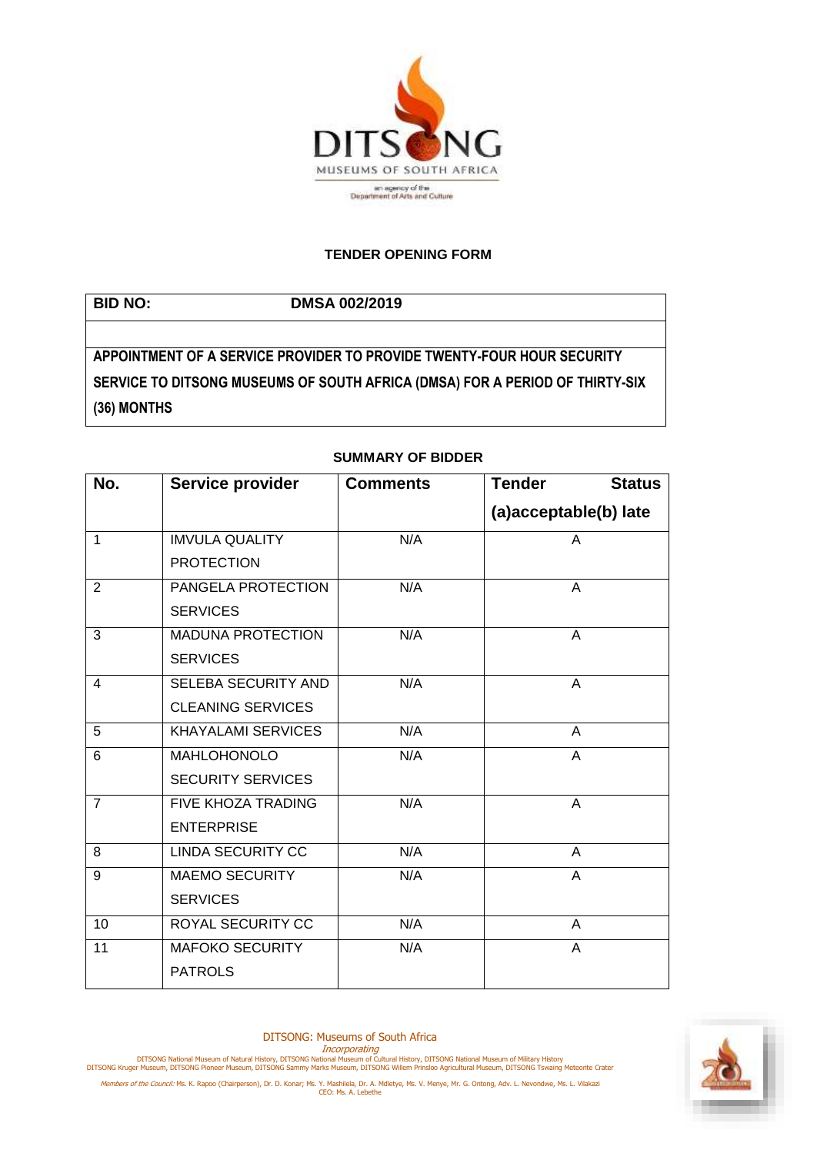

## **TENDER OPENING FORM**

**BID NO: DMSA 002/2019 APPOINTMENT OF A SERVICE PROVIDER TO PROVIDE TWENTY-FOUR HOUR SECURITY SERVICE TO DITSONG MUSEUMS OF SOUTH AFRICA (DMSA) FOR A PERIOD OF THIRTY-SIX (36) MONTHS**

| No.             | Service provider           | <b>Comments</b> | <b>Tender</b><br><b>Status</b> |
|-----------------|----------------------------|-----------------|--------------------------------|
|                 |                            |                 | (a)acceptable(b) late          |
| $\overline{1}$  | <b>IMVULA QUALITY</b>      | N/A             | A                              |
|                 | <b>PROTECTION</b>          |                 |                                |
| $\overline{2}$  | PANGELA PROTECTION         | N/A             | A                              |
|                 | <b>SERVICES</b>            |                 |                                |
| 3               | <b>MADUNA PROTECTION</b>   | N/A             | $\overline{A}$                 |
|                 | <b>SERVICES</b>            |                 |                                |
| $\overline{4}$  | <b>SELEBA SECURITY AND</b> | N/A             | A                              |
|                 | <b>CLEANING SERVICES</b>   |                 |                                |
| 5               | <b>KHAYALAMI SERVICES</b>  | N/A             | A                              |
| 6               | <b>MAHLOHONOLO</b>         | N/A             | A                              |
|                 | <b>SECURITY SERVICES</b>   |                 |                                |
| $\overline{7}$  | <b>FIVE KHOZA TRADING</b>  | N/A             | A                              |
|                 | <b>ENTERPRISE</b>          |                 |                                |
| 8               | <b>LINDA SECURITY CC</b>   | N/A             | $\mathsf{A}$                   |
| 9               | <b>MAEMO SECURITY</b>      | N/A             | A                              |
|                 | <b>SERVICES</b>            |                 |                                |
| 10              | <b>ROYAL SECURITY CC</b>   | N/A             | A                              |
| $\overline{11}$ | <b>MAFOKO SECURITY</b>     | N/A             | A                              |
|                 | <b>PATROLS</b>             |                 |                                |

## **SUMMARY OF BIDDER**

DITSONG: Museums of South Africa

Incorporating<br>DITSONG National Museum of Natural History, DITSONG National Museum of Military History<br>DITSONG Kruger Museum, DITSONG Pioneer Museum, DITSONG Sammy Marks Museum, DITSONG Willem Prinsloo Agricultural Museum,

Members of the Council: Ms. K. Rapoo (Chairperson), Dr. D. Konar; Ms. Y. Mashilela, Dr. A. Mdletye, Ms. V. Menye, Mr. G. Ontong, Adv. L. Nevondwe, Ms. L. Vilakazi<br>CEO: Ms. A. Lebethe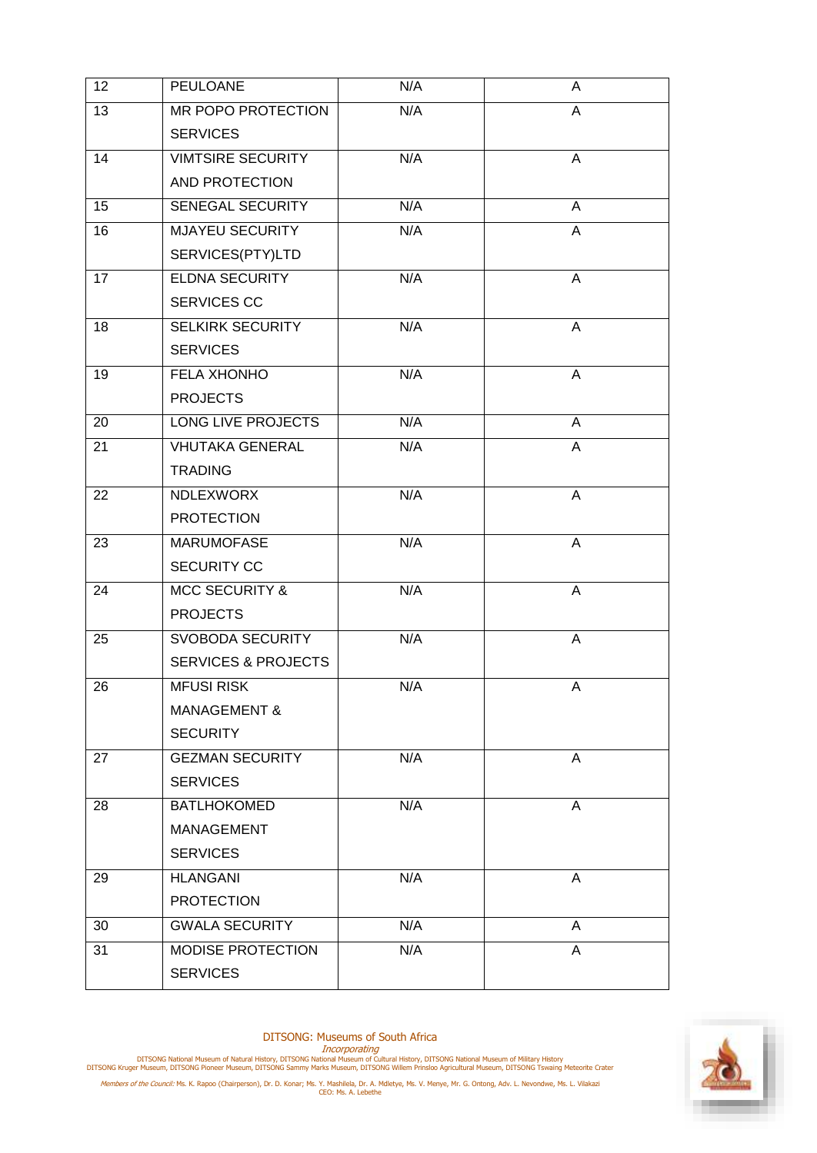| 12 | PEULOANE                       | N/A | A              |
|----|--------------------------------|-----|----------------|
| 13 | MR POPO PROTECTION             | N/A | A              |
|    | <b>SERVICES</b>                |     |                |
| 14 | <b>VIMTSIRE SECURITY</b>       | N/A | Α              |
|    | AND PROTECTION                 |     |                |
| 15 | <b>SENEGAL SECURITY</b>        | N/A | A              |
| 16 | <b>MJAYEU SECURITY</b>         | N/A | A              |
|    | SERVICES(PTY)LTD               |     |                |
| 17 | <b>ELDNA SECURITY</b>          | N/A | A              |
|    | SERVICES CC                    |     |                |
| 18 | <b>SELKIRK SECURITY</b>        | N/A | A              |
|    | <b>SERVICES</b>                |     |                |
| 19 | <b>FELA XHONHO</b>             | N/A | A              |
|    | <b>PROJECTS</b>                |     |                |
| 20 | <b>LONG LIVE PROJECTS</b>      | N/A | A              |
| 21 | <b>VHUTAKA GENERAL</b>         | N/A | Α              |
|    | <b>TRADING</b>                 |     |                |
| 22 | NDLEXWORX                      | N/A | A              |
|    | <b>PROTECTION</b>              |     |                |
| 23 | <b>MARUMOFASE</b>              | N/A | $\overline{A}$ |
|    | <b>SECURITY CC</b>             |     |                |
| 24 | <b>MCC SECURITY &amp;</b>      | N/A | A              |
|    | <b>PROJECTS</b>                |     |                |
| 25 | <b>SVOBODA SECURITY</b>        | N/A | A              |
|    | <b>SERVICES &amp; PROJECTS</b> |     |                |
| 26 | <b>MFUSI RISK</b>              | N/A | A              |
|    | <b>MANAGEMENT &amp;</b>        |     |                |
|    | <b>SECURITY</b>                |     |                |
| 27 | <b>GEZMAN SECURITY</b>         | N/A | A              |
|    | <b>SERVICES</b>                |     |                |
| 28 | <b>BATLHOKOMED</b>             | N/A | A              |
|    | MANAGEMENT                     |     |                |
|    | <b>SERVICES</b>                |     |                |
| 29 | <b>HLANGANI</b>                | N/A | A              |
|    | <b>PROTECTION</b>              |     |                |
| 30 | <b>GWALA SECURITY</b>          | N/A | A              |
| 31 | MODISE PROTECTION              | N/A | A              |
|    | <b>SERVICES</b>                |     |                |



DITSONG: Museums of South Africa

Incorporating<br>DITSONG National Museum of Natural History, DITSONG National Museum of Military History<br>DITSONG Kruger Museum, DITSONG Pioneer Museum, DITSONG Sammy Marks Museum, DITSONG Willem Prinsloo Agricultural Museum,

Members of the Council: Ms. K. Rapoo (Chairperson), Dr. D. Konar; Ms. Y. Mashilela, Dr. A. Mdletye, Ms. V. Menye, Mr. G. Ontong, Adv. L. Nevondwe, Ms. L. Vilakazi<br>CEO: Ms. A. Lebethe